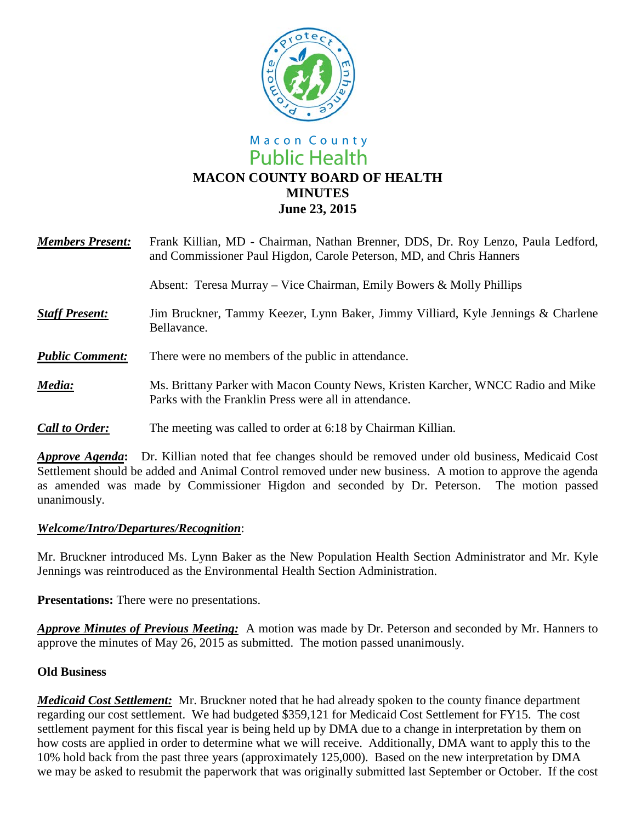

# Macon County **Public Health MACON COUNTY BOARD OF HEALTH MINUTES June 23, 2015**

| <b>Members Present:</b> | Frank Killian, MD - Chairman, Nathan Brenner, DDS, Dr. Roy Lenzo, Paula Ledford,<br>and Commissioner Paul Higdon, Carole Peterson, MD, and Chris Hanners |
|-------------------------|----------------------------------------------------------------------------------------------------------------------------------------------------------|
|                         | Absent: Teresa Murray – Vice Chairman, Emily Bowers & Molly Phillips                                                                                     |
| <b>Staff Present:</b>   | Jim Bruckner, Tammy Keezer, Lynn Baker, Jimmy Villiard, Kyle Jennings & Charlene<br>Bellavance.                                                          |
| <b>Public Comment:</b>  | There were no members of the public in attendance.                                                                                                       |
| Media:                  | Ms. Brittany Parker with Macon County News, Kristen Karcher, WNCC Radio and Mike<br>Parks with the Franklin Press were all in attendance.                |
| <b>Call to Order:</b>   | The meeting was called to order at 6:18 by Chairman Killian.                                                                                             |

*Approve Agenda***:** Dr. Killian noted that fee changes should be removed under old business, Medicaid Cost Settlement should be added and Animal Control removed under new business.A motion to approve the agenda as amended was made by Commissioner Higdon and seconded by Dr. Peterson. The motion passed unanimously.

### *Welcome/Intro/Departures/Recognition*:

Mr. Bruckner introduced Ms. Lynn Baker as the New Population Health Section Administrator and Mr. Kyle Jennings was reintroduced as the Environmental Health Section Administration.

**Presentations:** There were no presentations.

*Approve Minutes of Previous Meeting:* A motion was made by Dr. Peterson and seconded by Mr. Hanners to approve the minutes of May 26, 2015 as submitted. The motion passed unanimously.

### **Old Business**

*Medicaid Cost Settlement:* Mr. Bruckner noted that he had already spoken to the county finance department regarding our cost settlement. We had budgeted \$359,121 for Medicaid Cost Settlement for FY15. The cost settlement payment for this fiscal year is being held up by DMA due to a change in interpretation by them on how costs are applied in order to determine what we will receive. Additionally, DMA want to apply this to the 10% hold back from the past three years (approximately 125,000). Based on the new interpretation by DMA we may be asked to resubmit the paperwork that was originally submitted last September or October. If the cost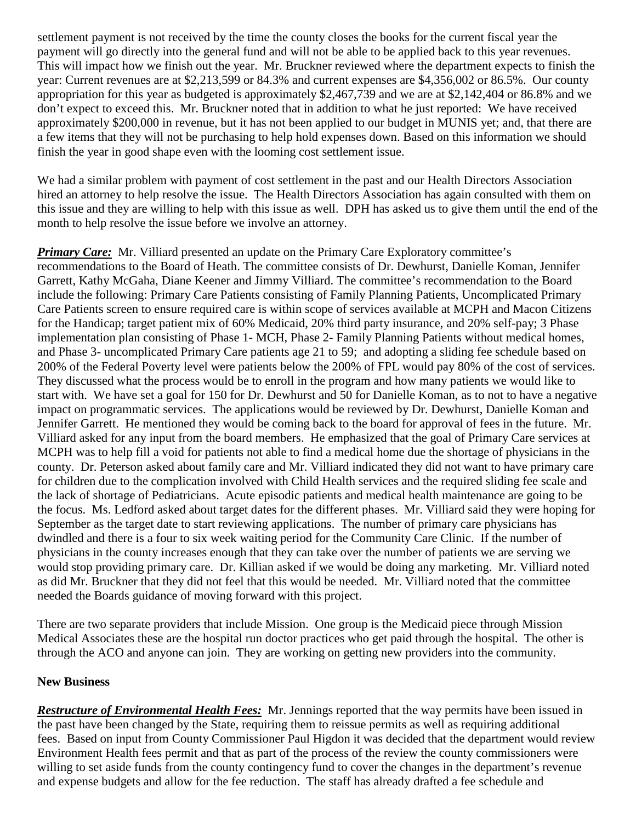settlement payment is not received by the time the county closes the books for the current fiscal year the payment will go directly into the general fund and will not be able to be applied back to this year revenues. This will impact how we finish out the year. Mr. Bruckner reviewed where the department expects to finish the year: Current revenues are at \$2,213,599 or 84.3% and current expenses are \$4,356,002 or 86.5%. Our county appropriation for this year as budgeted is approximately \$2,467,739 and we are at \$2,142,404 or 86.8% and we don't expect to exceed this. Mr. Bruckner noted that in addition to what he just reported: We have received approximately \$200,000 in revenue, but it has not been applied to our budget in MUNIS yet; and, that there are a few items that they will not be purchasing to help hold expenses down. Based on this information we should finish the year in good shape even with the looming cost settlement issue.

We had a similar problem with payment of cost settlement in the past and our Health Directors Association hired an attorney to help resolve the issue. The Health Directors Association has again consulted with them on this issue and they are willing to help with this issue as well. DPH has asked us to give them until the end of the month to help resolve the issue before we involve an attorney.

*Primary Care:* Mr. Villiard presented an update on the Primary Care Exploratory committee's recommendations to the Board of Heath. The committee consists of Dr. Dewhurst, Danielle Koman, Jennifer Garrett, Kathy McGaha, Diane Keener and Jimmy Villiard. The committee's recommendation to the Board include the following: Primary Care Patients consisting of Family Planning Patients, Uncomplicated Primary Care Patients screen to ensure required care is within scope of services available at MCPH and Macon Citizens for the Handicap; target patient mix of 60% Medicaid, 20% third party insurance, and 20% self-pay; 3 Phase implementation plan consisting of Phase 1- MCH, Phase 2- Family Planning Patients without medical homes, and Phase 3- uncomplicated Primary Care patients age 21 to 59; and adopting a sliding fee schedule based on 200% of the Federal Poverty level were patients below the 200% of FPL would pay 80% of the cost of services. They discussed what the process would be to enroll in the program and how many patients we would like to start with. We have set a goal for 150 for Dr. Dewhurst and 50 for Danielle Koman, as to not to have a negative impact on programmatic services. The applications would be reviewed by Dr. Dewhurst, Danielle Koman and Jennifer Garrett. He mentioned they would be coming back to the board for approval of fees in the future. Mr. Villiard asked for any input from the board members. He emphasized that the goal of Primary Care services at MCPH was to help fill a void for patients not able to find a medical home due the shortage of physicians in the county. Dr. Peterson asked about family care and Mr. Villiard indicated they did not want to have primary care for children due to the complication involved with Child Health services and the required sliding fee scale and the lack of shortage of Pediatricians. Acute episodic patients and medical health maintenance are going to be the focus. Ms. Ledford asked about target dates for the different phases. Mr. Villiard said they were hoping for September as the target date to start reviewing applications. The number of primary care physicians has dwindled and there is a four to six week waiting period for the Community Care Clinic. If the number of physicians in the county increases enough that they can take over the number of patients we are serving we would stop providing primary care. Dr. Killian asked if we would be doing any marketing. Mr. Villiard noted as did Mr. Bruckner that they did not feel that this would be needed. Mr. Villiard noted that the committee needed the Boards guidance of moving forward with this project.

There are two separate providers that include Mission. One group is the Medicaid piece through Mission Medical Associates these are the hospital run doctor practices who get paid through the hospital. The other is through the ACO and anyone can join. They are working on getting new providers into the community.

### **New Business**

*Restructure of Environmental Health Fees:* Mr. Jennings reported that the way permits have been issued in the past have been changed by the State, requiring them to reissue permits as well as requiring additional fees. Based on input from County Commissioner Paul Higdon it was decided that the department would review Environment Health fees permit and that as part of the process of the review the county commissioners were willing to set aside funds from the county contingency fund to cover the changes in the department's revenue and expense budgets and allow for the fee reduction. The staff has already drafted a fee schedule and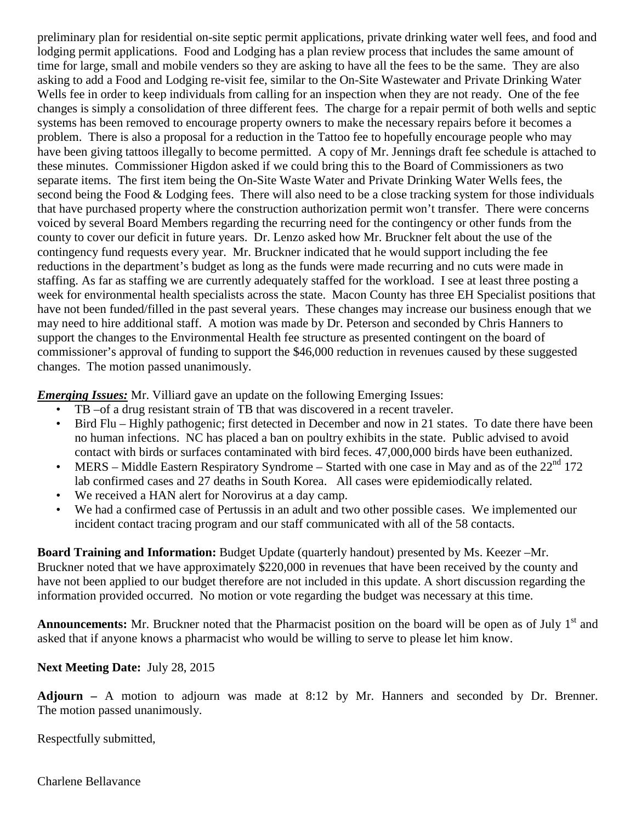preliminary plan for residential on-site septic permit applications, private drinking water well fees, and food and lodging permit applications. Food and Lodging has a plan review process that includes the same amount of time for large, small and mobile venders so they are asking to have all the fees to be the same. They are also asking to add a Food and Lodging re-visit fee, similar to the On-Site Wastewater and Private Drinking Water Wells fee in order to keep individuals from calling for an inspection when they are not ready. One of the fee changes is simply a consolidation of three different fees. The charge for a repair permit of both wells and septic systems has been removed to encourage property owners to make the necessary repairs before it becomes a problem. There is also a proposal for a reduction in the Tattoo fee to hopefully encourage people who may have been giving tattoos illegally to become permitted. A copy of Mr. Jennings draft fee schedule is attached to these minutes. Commissioner Higdon asked if we could bring this to the Board of Commissioners as two separate items. The first item being the On-Site Waste Water and Private Drinking Water Wells fees, the second being the Food & Lodging fees. There will also need to be a close tracking system for those individuals that have purchased property where the construction authorization permit won't transfer. There were concerns voiced by several Board Members regarding the recurring need for the contingency or other funds from the county to cover our deficit in future years. Dr. Lenzo asked how Mr. Bruckner felt about the use of the contingency fund requests every year. Mr. Bruckner indicated that he would support including the fee reductions in the department's budget as long as the funds were made recurring and no cuts were made in staffing. As far as staffing we are currently adequately staffed for the workload. I see at least three posting a week for environmental health specialists across the state. Macon County has three EH Specialist positions that have not been funded/filled in the past several years. These changes may increase our business enough that we may need to hire additional staff. A motion was made by Dr. Peterson and seconded by Chris Hanners to support the changes to the Environmental Health fee structure as presented contingent on the board of commissioner's approval of funding to support the \$46,000 reduction in revenues caused by these suggested changes. The motion passed unanimously.

*Emerging Issues:* Mr. Villiard gave an update on the following Emerging Issues:

- TB –of a drug resistant strain of TB that was discovered in a recent traveler.
- Bird Flu Highly pathogenic; first detected in December and now in 21 states. To date there have been no human infections. NC has placed a ban on poultry exhibits in the state. Public advised to avoid contact with birds or surfaces contaminated with bird feces. 47,000,000 birds have been euthanized.
- MERS Middle Eastern Respiratory Syndrome Started with one case in May and as of the  $22<sup>nd</sup> 172$ lab confirmed cases and 27 deaths in South Korea. All cases were epidemiodically related.
- We received a HAN alert for Norovirus at a day camp.
- We had a confirmed case of Pertussis in an adult and two other possible cases. We implemented our incident contact tracing program and our staff communicated with all of the 58 contacts.

**Board Training and Information:** Budget Update (quarterly handout) presented by Ms. Keezer –Mr. Bruckner noted that we have approximately \$220,000 in revenues that have been received by the county and have not been applied to our budget therefore are not included in this update. A short discussion regarding the information provided occurred. No motion or vote regarding the budget was necessary at this time.

**Announcements:** Mr. Bruckner noted that the Pharmacist position on the board will be open as of July 1<sup>st</sup> and asked that if anyone knows a pharmacist who would be willing to serve to please let him know.

## **Next Meeting Date:** July 28, 2015

**Adjourn –** A motion to adjourn was made at 8:12 by Mr. Hanners and seconded by Dr. Brenner. The motion passed unanimously.

Respectfully submitted,